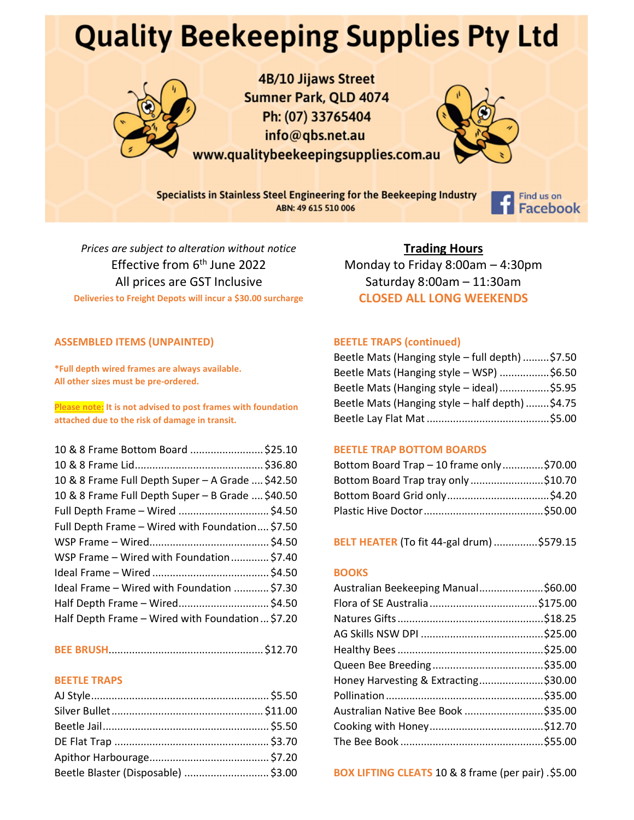

Prices are subject to alteration without notice Trading Hours Effective from 6<sup>th</sup> June 2022 All prices are GST Inclusive Saturday 8:00am – 11:30am

# Monday to Friday 8:00am  $-$  4:30pm Deliveries to Freight Depots will incur a \$30.00 surcharge **CLOSED ALL LONG WEEKENDS**

#### ASSEMBLED ITEMS (UNPAINTED)

\*Full depth wired frames are always available. All other sizes must be pre-ordered.

Please note: It is not advised to post frames with foundation attached due to the risk of damage in transit.

| 10 & 8 Frame Bottom Board  \$25.10               |
|--------------------------------------------------|
|                                                  |
| 10 & 8 Frame Full Depth Super - A Grade  \$42.50 |
| 10 & 8 Frame Full Depth Super - B Grade  \$40.50 |
| Full Depth Frame - Wired \$4.50                  |
| Full Depth Frame - Wired with Foundation \$7.50  |
|                                                  |
| WSP Frame - Wired with Foundation \$7.40         |
|                                                  |
| Ideal Frame - Wired with Foundation  \$7.30      |
| Half Depth Frame - Wired\$4.50                   |
| Half Depth Frame - Wired with Foundation\$7.20   |

|--|--|--|--|

#### BEETLE TRAPS

| Beetle Blaster (Disposable)  \$3.00 |  |
|-------------------------------------|--|

#### BEETLE TRAPS (continued)

| Beetle Mats (Hanging style - full depth) \$7.50 |  |
|-------------------------------------------------|--|
| Beetle Mats (Hanging style - WSP) \$6.50        |  |
| Beetle Mats (Hanging style - ideal)\$5.95       |  |
| Beetle Mats (Hanging style - half depth) \$4.75 |  |
|                                                 |  |

#### BEETLE TRAP BOTTOM BOARDS

| Bottom Board Trap - 10 frame only\$70.00 |  |
|------------------------------------------|--|
| Bottom Board Trap tray only \$10.70      |  |
|                                          |  |
|                                          |  |

BELT HEATER (To fit 44-gal drum) ............... \$579.15

#### **BOOKS**

| Australian Beekeeping Manual\$60.00  |  |
|--------------------------------------|--|
|                                      |  |
|                                      |  |
|                                      |  |
|                                      |  |
|                                      |  |
| Honey Harvesting & Extracting\$30.00 |  |
|                                      |  |
| Australian Native Bee Book \$35.00   |  |
|                                      |  |
|                                      |  |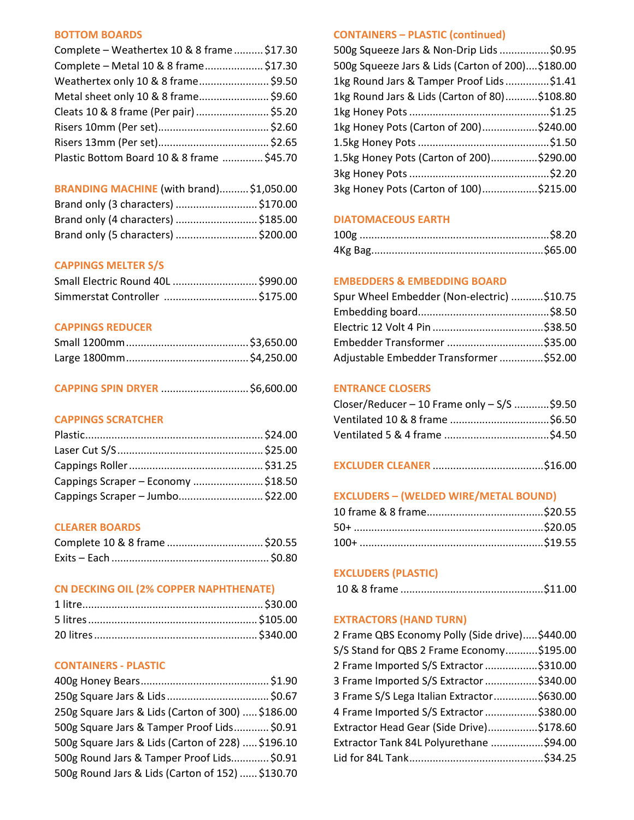#### BOTTOM BOARDS

| Complete - Weathertex 10 & 8 frame  \$17.30 |  |
|---------------------------------------------|--|
| Complete - Metal 10 & 8 frame \$17.30       |  |
| Weathertex only 10 & 8 frame \$9.50         |  |
| Metal sheet only 10 & 8 frame \$9.60        |  |
| Cleats 10 & 8 frame (Per pair)  \$5.20      |  |
|                                             |  |
|                                             |  |
| Plastic Bottom Board 10 & 8 frame  \$45.70  |  |

| BRANDING MACHINE (with brand) \$1,050.00 |  |
|------------------------------------------|--|
| Brand only (3 characters) \$170.00       |  |
| Brand only (4 characters)  \$185.00      |  |
| Brand only (5 characters) \$200.00       |  |

#### CAPPINGS MELTER S/S

| Small Electric Round 40L  \$990.00 |  |
|------------------------------------|--|
|                                    |  |

# CAPPINGS REDUCER

|  |  |  | CAPPING SPIN DRYER  \$6,600.00 |
|--|--|--|--------------------------------|
|--|--|--|--------------------------------|

# CAPPINGS SCRATCHER

| Cappings Scraper - Economy  \$18.50 |  |
|-------------------------------------|--|
| Cappings Scraper - Jumbo\$22.00     |  |

#### CLEARER BOARDS

# CN DECKING OIL (2% COPPER NAPHTHENATE)

#### CONTAINERS - PLASTIC

| 250g Square Jars & Lids (Carton of 300)  \$186.00 |  |
|---------------------------------------------------|--|
| 500g Square Jars & Tamper Proof Lids \$0.91       |  |
| 500g Square Jars & Lids (Carton of 228)  \$196.10 |  |
| 500g Round Jars & Tamper Proof Lids \$0.91        |  |
| 500g Round Jars & Lids (Carton of 152)  \$130.70  |  |

# CONTAINERS – PLASTIC (continued)

| 500g Squeeze Jars & Non-Drip Lids \$0.95         |  |
|--------------------------------------------------|--|
| 500g Squeeze Jars & Lids (Carton of 200)\$180.00 |  |
| 1kg Round Jars & Tamper Proof Lids\$1.41         |  |
| 1kg Round Jars & Lids (Carton of 80)\$108.80     |  |
|                                                  |  |
| 1kg Honey Pots (Carton of 200)\$240.00           |  |
|                                                  |  |
| 1.5kg Honey Pots (Carton of 200)\$290.00         |  |
|                                                  |  |
| 3kg Honey Pots (Carton of 100)\$215.00           |  |

#### DIATOMACEOUS EARTH

#### EMBEDDERS & EMBEDDING BOARD

| Spur Wheel Embedder (Non-electric) \$10.75 |  |
|--------------------------------------------|--|
|                                            |  |
|                                            |  |
|                                            |  |
| Adjustable Embedder Transformer \$52.00    |  |

# ENTRANCE CLOSERS

| Closer/Reducer $-10$ Frame only $-5/5$ \$9.50 |  |
|-----------------------------------------------|--|
|                                               |  |
|                                               |  |

|--|--|--|

# EXCLUDERS – (WELDED WIRE/METAL BOUND)

# EXCLUDERS (PLASTIC)

|--|--|

#### EXTRACTORS (HAND TURN)

| 2 Frame QBS Economy Polly (Side drive)\$440.00 |  |
|------------------------------------------------|--|
| S/S Stand for QBS 2 Frame Economy\$195.00      |  |
| 2 Frame Imported S/S Extractor \$310.00        |  |
| 3 Frame Imported S/S Extractor \$340.00        |  |
| 3 Frame S/S Lega Italian Extractor\$630.00     |  |
| 4 Frame Imported S/S Extractor \$380.00        |  |
| Extractor Head Gear (Side Drive)\$178.60       |  |
| Extractor Tank 84L Polyurethane \$94.00        |  |
|                                                |  |
|                                                |  |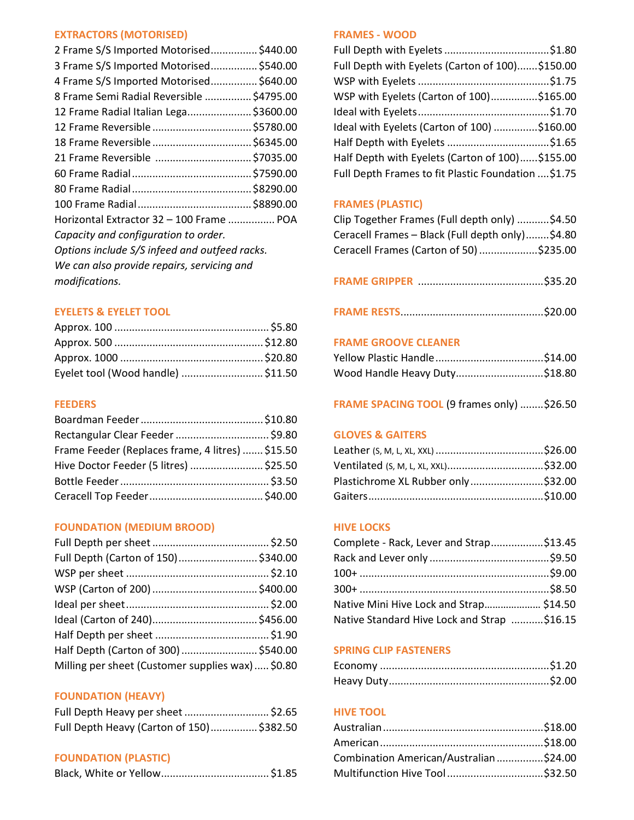# EXTRACTORS (MOTORISED)

| 2 Frame S/S Imported Motorised \$440.00       |  |  |
|-----------------------------------------------|--|--|
| 3 Frame S/S Imported Motorised \$540.00       |  |  |
| 4 Frame S/S Imported Motorised \$640.00       |  |  |
| 8 Frame Semi Radial Reversible  \$4795.00     |  |  |
| 12 Frame Radial Italian Lega\$3600.00         |  |  |
| 12 Frame Reversible  \$5780.00                |  |  |
| 18 Frame Reversible  \$6345.00                |  |  |
| 21 Frame Reversible  \$7035.00                |  |  |
|                                               |  |  |
|                                               |  |  |
|                                               |  |  |
| Horizontal Extractor 32 - 100 Frame  POA      |  |  |
| Capacity and configuration to order.          |  |  |
| Options include S/S infeed and outfeed racks. |  |  |
| We can also provide repairs, servicing and    |  |  |
| modifications.                                |  |  |
|                                               |  |  |

#### EYELETS & EYELET TOOL

| _______________                    |  |
|------------------------------------|--|
|                                    |  |
|                                    |  |
|                                    |  |
| Eyelet tool (Wood handle)  \$11.50 |  |

#### **FEEDERS**

| Frame Feeder (Replaces frame, 4 litres)  \$15.50 |  |
|--------------------------------------------------|--|
| Hive Doctor Feeder (5 litres)  \$25.50           |  |
|                                                  |  |
|                                                  |  |

# FOUNDATION (MEDIUM BROOD)

| Full Depth (Carton of 150)\$340.00               |  |
|--------------------------------------------------|--|
|                                                  |  |
|                                                  |  |
|                                                  |  |
|                                                  |  |
|                                                  |  |
| Half Depth (Carton of 300)  \$540.00             |  |
| Milling per sheet (Customer supplies wax) \$0.80 |  |
|                                                  |  |

# FOUNDATION (HEAVY)

| Full Depth Heavy per sheet  \$2.65        |  |
|-------------------------------------------|--|
| Full Depth Heavy (Carton of 150) \$382.50 |  |

# FOUNDATION (PLASTIC)

|--|--|

### FRAMES - WOOD

| Full Depth with Eyelets (Carton of 100)\$150.00     |  |
|-----------------------------------------------------|--|
|                                                     |  |
| WSP with Eyelets (Carton of 100)\$165.00            |  |
|                                                     |  |
| Ideal with Eyelets (Carton of 100) \$160.00         |  |
|                                                     |  |
| Half Depth with Eyelets (Carton of 100)\$155.00     |  |
| Full Depth Frames to fit Plastic Foundation  \$1.75 |  |
|                                                     |  |

#### FRAMES (PLASTIC)

| Clip Together Frames (Full depth only) \$4.50   |  |
|-------------------------------------------------|--|
| Ceracell Frames – Black (Full depth only)\$4.80 |  |
| Ceracell Frames (Carton of 50) \$235.00         |  |

|--|--|

|--|--|

#### FRAME GROOVE CLEANER

| Wood Handle Heavy Duty\$18.80 |  |
|-------------------------------|--|

| FRAME SPACING TOOL (9 frames only) \$26.50 |  |  |
|--------------------------------------------|--|--|
|--------------------------------------------|--|--|

#### GLOVES & GAITERS

| Plastichrome XL Rubber only\$32.00 |  |
|------------------------------------|--|
|                                    |  |

#### **HIVE LOCKS**

| Complete - Rack, Lever and Strap\$13.45     |  |
|---------------------------------------------|--|
|                                             |  |
|                                             |  |
|                                             |  |
| Native Mini Hive Lock and Strap \$14.50     |  |
| Native Standard Hive Lock and Strap \$16.15 |  |

# SPRING CLIP FASTENERS

# HIVE TOOL

| Combination American/Australian\$24.00 |  |
|----------------------------------------|--|
|                                        |  |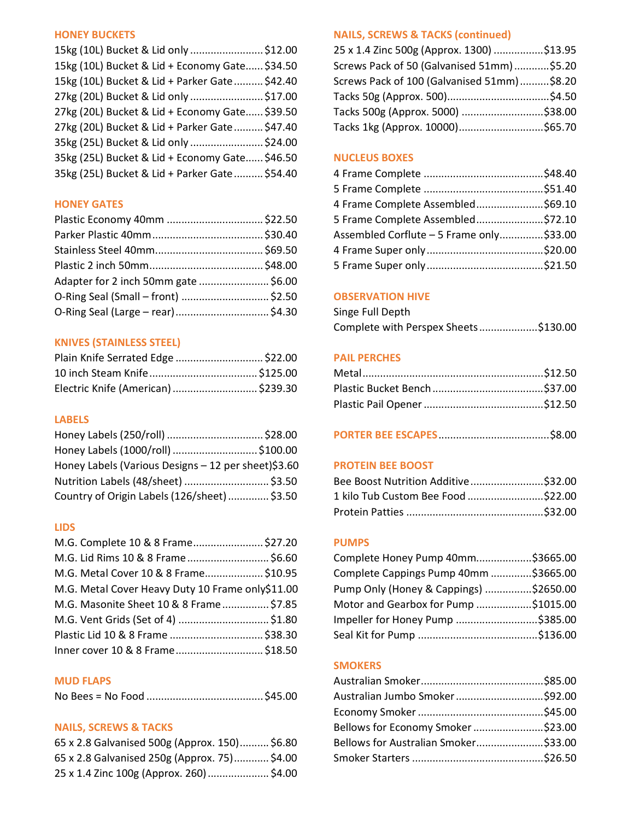#### HONEY BUCKETS

| 15kg (10L) Bucket & Lid only \$12.00           |  |
|------------------------------------------------|--|
| 15kg (10L) Bucket & Lid + Economy Gate \$34.50 |  |
| 15kg (10L) Bucket & Lid + Parker Gate  \$42.40 |  |
| 27kg (20L) Bucket & Lid only \$17.00           |  |
| 27kg (20L) Bucket & Lid + Economy Gate \$39.50 |  |
| 27kg (20L) Bucket & Lid + Parker Gate  \$47.40 |  |
| 35kg (25L) Bucket & Lid only \$24.00           |  |
| 35kg (25L) Bucket & Lid + Economy Gate \$46.50 |  |
| 35kg (25L) Bucket & Lid + Parker Gate  \$54.40 |  |
|                                                |  |

#### HONEY GATES

| Adapter for 2 inch 50mm gate  \$6.00 |  |
|--------------------------------------|--|
|                                      |  |
|                                      |  |

# KNIVES (STAINLESS STEEL)

| Plain Knife Serrated Edge  \$22.00  |  |
|-------------------------------------|--|
|                                     |  |
| Electric Knife (American)  \$239.30 |  |

#### LABELS

| Honey Labels (1000/roll)  \$100.00                  |  |
|-----------------------------------------------------|--|
| Honey Labels (Various Designs - 12 per sheet)\$3.60 |  |
| Nutrition Labels (48/sheet)  \$3.50                 |  |
| Country of Origin Labels (126/sheet)  \$3.50        |  |

#### LIDS

| M.G. Complete 10 & 8 Frame\$27.20                |
|--------------------------------------------------|
| M.G. Lid Rims 10 & 8 Frame \$6.60                |
| M.G. Metal Cover 10 & 8 Frame \$10.95            |
| M.G. Metal Cover Heavy Duty 10 Frame only\$11.00 |
| M.G. Masonite Sheet 10 & 8 Frame \$7.85          |
|                                                  |
|                                                  |
|                                                  |
|                                                  |

#### MUD FLAPS

|--|--|--|--|

# NAILS, SCREWS & TACKS

| 65 x 2.8 Galvanised 500g (Approx. 150) \$6.80 |  |
|-----------------------------------------------|--|
| 65 x 2.8 Galvanised 250g (Approx. 75) \$4.00  |  |
| 25 x 1.4 Zinc 100g (Approx. 260) \$4.00       |  |

# NAILS, SCREWS & TACKS (continued)

| 25 x 1.4 Zinc 500g (Approx. 1300) \$13.95  |  |
|--------------------------------------------|--|
| Screws Pack of 50 (Galvanised 51mm)\$5.20  |  |
| Screws Pack of 100 (Galvanised 51mm)\$8.20 |  |
|                                            |  |
| Tacks 500g (Approx. 5000) \$38.00          |  |
| Tacks 1kg (Approx. 10000)\$65.70           |  |

# NUCLEUS BOXES

| 4 Frame Complete Assembled\$69.10        |  |
|------------------------------------------|--|
| 5 Frame Complete Assembled\$72.10        |  |
| Assembled Corflute - 5 Frame only\$33.00 |  |
|                                          |  |
|                                          |  |

# OBSERVATION HIVE

| Singe Full Depth                     |  |
|--------------------------------------|--|
| Complete with Perspex Sheets\$130.00 |  |

# PAIL PERCHES

|--|--|--|

#### PROTEIN BEE BOOST

| Bee Boost Nutrition Additive\$32.00 |  |
|-------------------------------------|--|
| 1 kilo Tub Custom Bee Food \$22.00  |  |
|                                     |  |

# PUMPS

| Complete Honey Pump 40mm\$3665.00      |  |
|----------------------------------------|--|
| Complete Cappings Pump 40mm \$3665.00  |  |
| Pump Only (Honey & Cappings) \$2650.00 |  |
| Motor and Gearbox for Pump \$1015.00   |  |
| Impeller for Honey Pump \$385.00       |  |
|                                        |  |

#### SMOKERS

| Bellows for Economy Smoker\$23.00    |  |
|--------------------------------------|--|
| Bellows for Australian Smoker\$33.00 |  |
|                                      |  |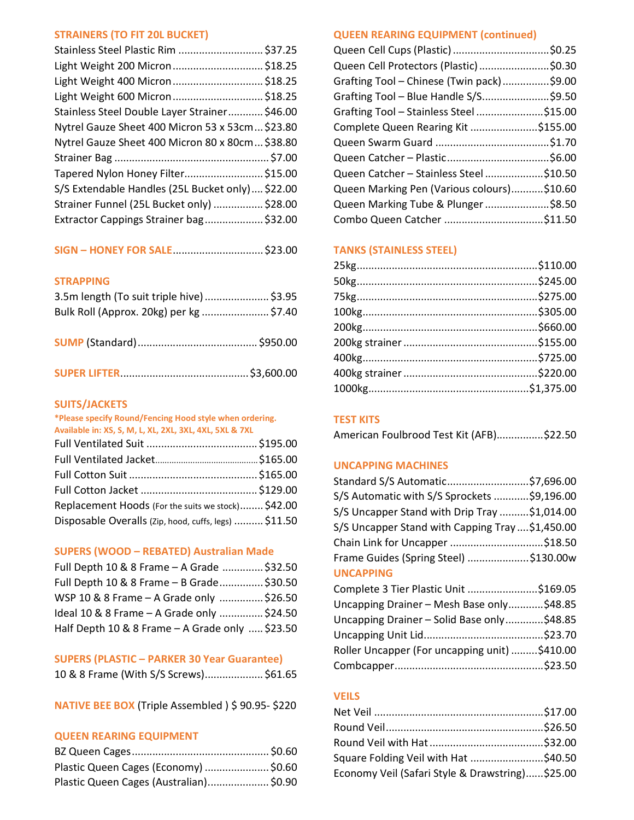#### STRAINERS (TO FIT 20L BUCKET)

| Stainless Steel Plastic Rim  \$37.25             |  |
|--------------------------------------------------|--|
| Light Weight 200 Micron\$18.25                   |  |
| Light Weight 400 Micron\$18.25                   |  |
| Light Weight 600 Micron\$18.25                   |  |
| Stainless Steel Double Layer Strainer \$46.00    |  |
| Nytrel Gauze Sheet 400 Micron 53 x 53cm \$23.80  |  |
| Nytrel Gauze Sheet 400 Micron 80 x 80cm \$38.80  |  |
|                                                  |  |
| Tapered Nylon Honey Filter\$15.00                |  |
| S/S Extendable Handles (25L Bucket only) \$22.00 |  |
| Strainer Funnel (25L Bucket only)  \$28.00       |  |
| Extractor Cappings Strainer bag \$32.00          |  |
|                                                  |  |

|--|--|

#### **STRAPPING**

| 3.5m length (To suit triple hive)  \$3.95 |  |
|-------------------------------------------|--|
| Bulk Roll (Approx. 20kg) per kg  \$7.40   |  |

#### SUITS/JACKETS

#### \*Please specify Round/Fencing Hood style when ordering. Available in: XS, S, M, L, XL, 2XL, 3XL, 4XL, 5XL & 7XL

| Replacement Hoods (For the suits we stock) \$42.00    |  |
|-------------------------------------------------------|--|
| Disposable Overalls (Zip, hood, cuffs, legs)  \$11.50 |  |

#### SUPERS (WOOD – REBATED) Australian Made

| Full Depth 10 & 8 Frame - A Grade  \$32.50        |  |
|---------------------------------------------------|--|
| Full Depth 10 & 8 Frame - B Grade \$30.50         |  |
| WSP 10 & 8 Frame - A Grade only  \$26.50          |  |
| Ideal 10 & 8 Frame - A Grade only  \$24.50        |  |
| Half Depth 10 & 8 Frame $-$ A Grade only  \$23.50 |  |

#### SUPERS (PLASTIC – PARKER 30 Year Guarantee)

|  |  |  |  |  |  | 10 & 8 Frame (With S/S Screws) \$61.65 |  |
|--|--|--|--|--|--|----------------------------------------|--|
|--|--|--|--|--|--|----------------------------------------|--|

NATIVE BEE BOX (Triple Assembled ) \$ 90.95- \$220

### QUEEN REARING EQUIPMENT

| Plastic Queen Cages (Economy)  \$0.60   |  |
|-----------------------------------------|--|
| Plastic Queen Cages (Australian) \$0.90 |  |

### QUEEN REARING EQUIPMENT (continued)

| Queen Cell Protectors (Plastic) \$0.30     |  |
|--------------------------------------------|--|
| Grafting Tool - Chinese (Twin pack)\$9.00  |  |
| Grafting Tool - Blue Handle S/S\$9.50      |  |
| Grafting Tool - Stainless Steel\$15.00     |  |
| Complete Queen Rearing Kit \$155.00        |  |
|                                            |  |
|                                            |  |
| Queen Catcher - Stainless Steel \$10.50    |  |
| Queen Marking Pen (Various colours)\$10.60 |  |
| Queen Marking Tube & Plunger \$8.50        |  |
|                                            |  |

# TANKS (STAINLESS STEEL)

#### TEST KITS

| American Foulbrood Test Kit (AFB)\$22.50 |  |  |
|------------------------------------------|--|--|
|------------------------------------------|--|--|

#### UNCAPPING MACHINES

| Standard S/S Automatic\$7,696.00                |  |
|-------------------------------------------------|--|
| S/S Automatic with S/S Sprockets \$9,196.00     |  |
| S/S Uncapper Stand with Drip Tray \$1,014.00    |  |
| S/S Uncapper Stand with Capping Tray \$1,450.00 |  |
| Chain Link for Uncapper \$18.50                 |  |
| Frame Guides (Spring Steel) \$130.00w           |  |
| <b>UNCAPPING</b>                                |  |

| Complete 3 Tier Plastic Unit \$169.05         |  |
|-----------------------------------------------|--|
| Uncapping Drainer - Mesh Base only\$48.85     |  |
| Uncapping Drainer - Solid Base only\$48.85    |  |
|                                               |  |
| Roller Uncapper (For uncapping unit) \$410.00 |  |
|                                               |  |

#### **VEILS**

| Square Folding Veil with Hat \$40.50            |  |
|-------------------------------------------------|--|
| Economy Veil (Safari Style & Drawstring)\$25.00 |  |